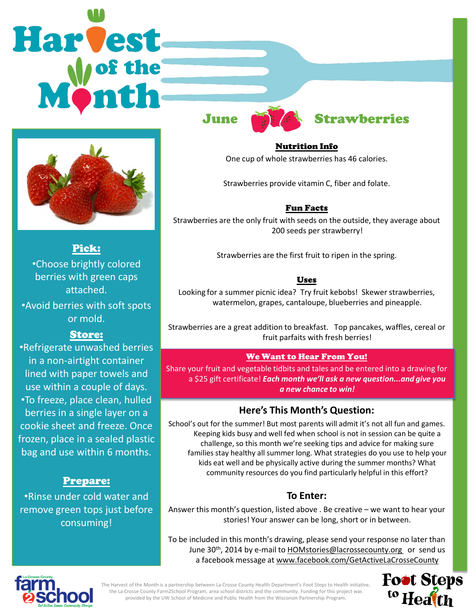# Harvest



Pick: •Choose brightly colored berries with green caps attached.

•Avoid berries with soft spots or mold.

### Store:

•Refrigerate unwashed berries in a non-airtight container lined with paper towels and use within a couple of days.

•To freeze, place clean, hulled berries in a single layer on a cookie sheet and freeze. Once frozen, place in a sealed plastic bag and use within 6 months.

### Prepare:

•Rinse under cold water and remove green tops just before consuming!



# June **Strawberries**

Nutrition Info One cup of whole strawberries has 46 calories.

Strawberries provide vitamin C, fiber and folate.

### Fun Facts

Strawberries are the only fruit with seeds on the outside, they average about 200 seeds per strawberry!

Strawberries are the first fruit to ripen in the spring.

### Uses

Looking for a summer picnic idea? Try fruit kebobs! Skewer strawberries, watermelon, grapes, cantaloupe, blueberries and pineapple.

Strawberries are a great addition to breakfast. Top pancakes, waffles, cereal or fruit parfaits with fresh berries!

### We Want to Hear From You!

Share your fruit and vegetable tidbits and tales and be entered into a drawing for a \$25 gift certificate! *Each month we'll ask a new question...and give you a new chance to win!* 

# **Here's This Month's Question:**

School's out for the summer! But most parents will admit it's not all fun and games. Keeping kids busy and well fed when school is not in session can be quite a challenge, so this month we're seeking tips and advice for making sure families stay healthy all summer long. What strategies do you use to help your kids eat well and be physically active during the summer months? What community resources do you find particularly helpful in this effort?

# **To Enter:**

Answer this month's question, listed above . Be creative – we want to hear your stories! Your answer can be long, short or in between.

To be included in this month's drawing, please send your response no later than June 30<sup>th</sup>, 2014 by e-mail to HOMstories@lacrossecounty.org or send us a facebook message at www.facebook.com/GetActiveLaCrosseCounty



The Harvest of the Month is a partnership between La Crosse County Health Department's Foot Steps to Health initiative, the La Crosse County Farm2School Program, area school districts and the community. Funding for this project was provided by the UW School of Medicine and Public Health from the Wisconsin Partnership Program.